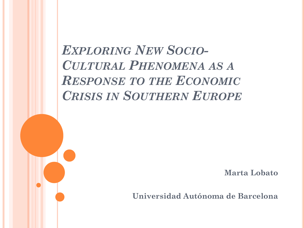# *EXPLORING NEW SOCIO-CULTURAL PHENOMENA AS A RESPONSE TO THE ECONOMIC CRISIS IN SOUTHERN EUROPE*

**Marta Lobato**

**Universidad Autónoma de Barcelona**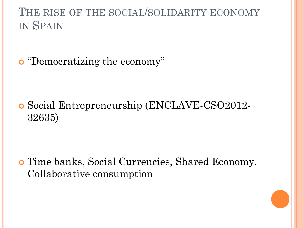#### THE RISE OF THE SOCIAL/SOLIDARITY ECONOMY IN SPAIN

"Democratizing the economy"

 Social Entrepreneurship (ENCLAVE-CSO2012- 32635)

 Time banks, Social Currencies, Shared Economy, Collaborative consumption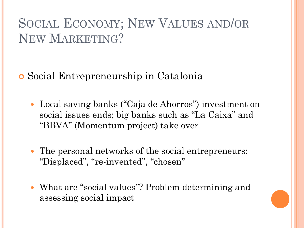## SOCIAL ECONOMY; NEW VALUES AND/OR NEW MARKETING?

Social Entrepreneurship in Catalonia

- Local saving banks ("Caja de Ahorros") investment on social issues ends; big banks such as "La Caixa" and "BBVA" (Momentum project) take over
- The personal networks of the social entrepreneurs: "Displaced", "re-invented", "chosen"
- What are "social values"? Problem determining and assessing social impact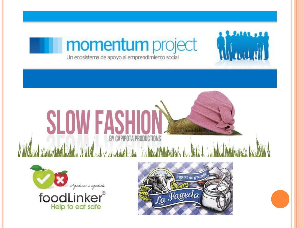





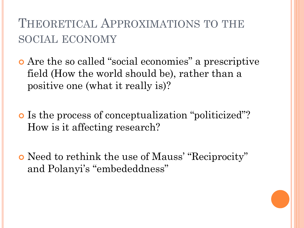## THEORETICAL APPROXIMATIONS TO THE SOCIAL ECONOMY

 Are the so called "social economies" a prescriptive field (How the world should be), rather than a positive one (what it really is)?

 Is the process of conceptualization "politicized"? How is it affecting research?

 Need to rethink the use of Mauss' "Reciprocity" and Polanyi's "embededdness"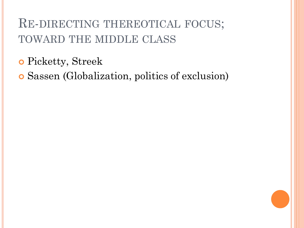## RE-DIRECTING THEREOTICAL FOCUS; TOWARD THE MIDDLE CLASS

Picketty, Streek

Sassen (Globalization, politics of exclusion)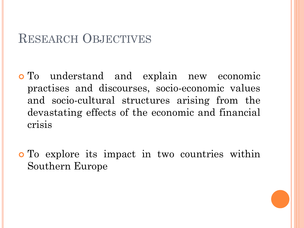#### RESEARCH OBJECTIVES

- To understand and explain new economic practises and discourses, socio-economic values and socio-cultural structures arising from the devastating effects of the economic and financial crisis
- To explore its impact in two countries within Southern Europe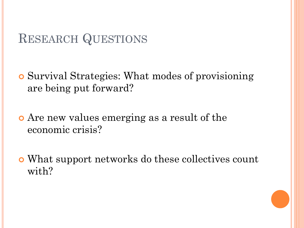#### RESEARCH QUESTIONS

- Survival Strategies: What modes of provisioning are being put forward?
- Are new values emerging as a result of the economic crisis?
- What support networks do these collectives count with?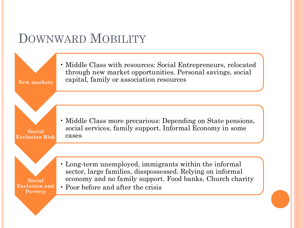### DOWNWARD MOBILITY